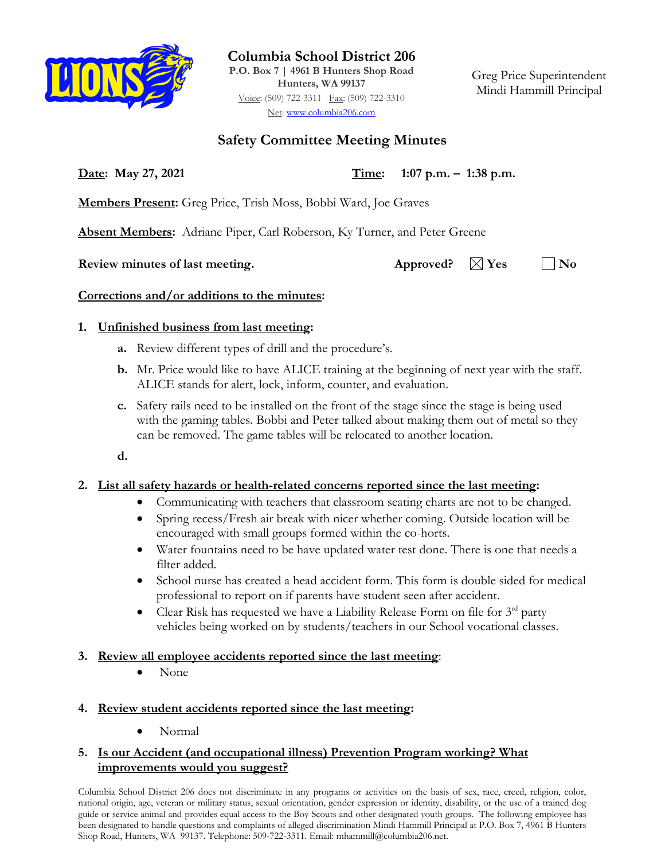

**Columbia School District 206**

**P.O. Box 7 | 4961 B Hunters Shop Road Hunters, WA 99137** Voice: (509) 722-3311 Fax: (509) 722-3310 Net: [www.columbia206.com](http://www.columbia206.com/)

Greg Price Superintendent Mindi Hammill Principal

## **Safety Committee Meeting Minutes**

**Date: May 27, 2021 Time: 1:07 p.m. – 1:38 p.m.**

**Members Present:** Greg Price, Trish Moss, Bobbi Ward, Joe Graves

**Absent Members:** Adriane Piper, Carl Roberson, Ky Turner, and Peter Greene

**Review minutes of last meeting.** Approved?  $\boxtimes$  Yes  $\Box$  No

### **Corrections and/or additions to the minutes:**

### **1. Unfinished business from last meeting:**

- **a.** Review different types of drill and the procedure's.
- **b.** Mr. Price would like to have ALICE training at the beginning of next year with the staff. ALICE stands for alert, lock, inform, counter, and evaluation.
- **c.** Safety rails need to be installed on the front of the stage since the stage is being used with the gaming tables. Bobbi and Peter talked about making them out of metal so they can be removed. The game tables will be relocated to another location.
- **d.**

# **2. List all safety hazards or health-related concerns reported since the last meeting:**

- Communicating with teachers that classroom seating charts are not to be changed.
- Spring recess/Fresh air break with nicer whether coming. Outside location will be encouraged with small groups formed within the co-horts.
- Water fountains need to be have updated water test done. There is one that needs a filter added.
- School nurse has created a head accident form. This form is double sided for medical professional to report on if parents have student seen after accident.
- Clear Risk has requested we have a Liability Release Form on file for  $3^{rd}$  party vehicles being worked on by students/teachers in our School vocational classes.
- **3. Review all employee accidents reported since the last meeting**:
	- None
- **4. Review student accidents reported since the last meeting:**
	- Normal

### **5. Is our Accident (and occupational illness) Prevention Program working? What improvements would you suggest?**

Columbia School District 206 does not discriminate in any programs or activities on the basis of sex, race, creed, religion, color, national origin, age, veteran or military status, sexual orientation, gender expression or identity, disability, or the use of a trained dog guide or service animal and provides equal access to the Boy Scouts and other designated youth groups. The following employee has been designated to handle questions and complaints of alleged discrimination Mindi Hammill Principal at P.O. Box 7, 4961 B Hunters Shop Road, Hunters, WA 99137. Telephone: 509-722-3311. Email: mhammill@columbia206.net.